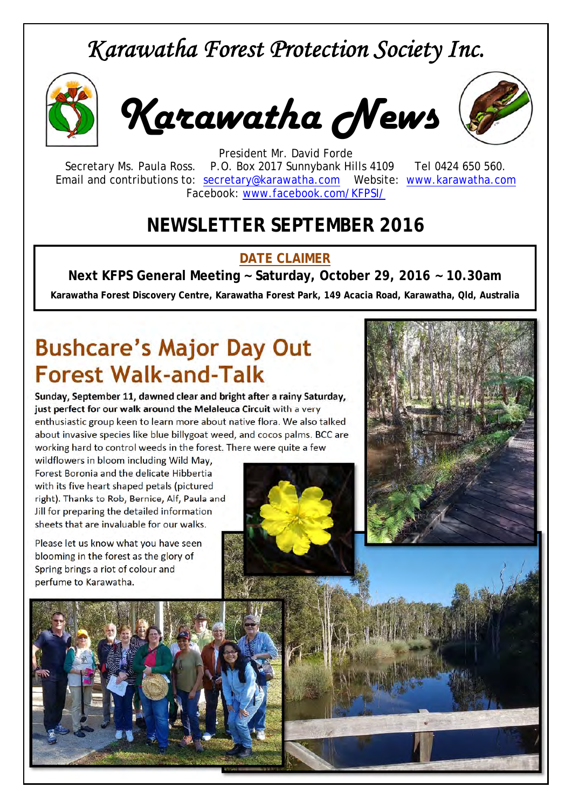## *Karawatha Forest Protection Society Inc.*



*Karawatha News*



President Mr. David Forde Secretary Ms. Paula Ross. P.O. Box 2017 Sunnybank Hills 4109 Tel 0424 650 560. Email and contributions to: secretary@karawatha.com Website: www.karawatha.com Facebook: www.facebook.com/KFPSI/

#### **NEWSLETTER SEPTEMBER 2016**

#### **DATE CLAIMER**

**Next KFPS General Meeting ~ Saturday, October 29, 2016 ~ 10.30am** 

**Karawatha Forest Discovery Centre, Karawatha Forest Park, 149 Acacia Road, Karawatha, Qld, Australia**

# **Bushcare's Major Day Out Forest Walk-and-Talk**

**Sunday, September 11, dawned clear and bright after a rainy Saturday, just perfect for our walk around the Melaleuca Circuit** with a very enthusiastic group keen to learn more about native flora. We also talked about invasive species like blue billygoat weed, and cocos palms. BCC are working hard to control weeds in the forest. There were quite a few

wildflowers in bloom including Wild May, Forest Boronia and the delicate Hibbertia with its five heart shaped petals (pictured right). Thanks to Rob, Bernice, Alf, Paula and Jill for preparing the detailed information sheets that are invaluable for our walks.

Please let us know what you have seen blooming in the forest as the glory of Spring brings a riot of colour and perfume to Karawatha.